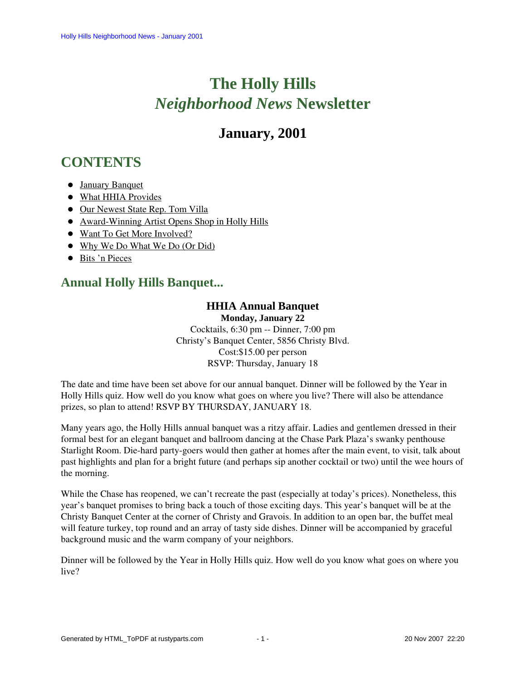# **The Holly Hills**  *Neighborhood News* **Newsletter**

## **January, 2001**

## <span id="page-0-1"></span>**CONTENTS**

- [January Banquet](#page-0-0)
- [What HHIA Provides](#page-1-0)
- [Our Newest State Rep. Tom Villa](#page-1-1)
- [Award-Winning Artist Opens Shop in Holly Hills](#page-2-0)
- [Want To Get More Involved?](#page-2-1)
- [Why We Do What We Do \(Or Did\)](#page-2-2)
- [Bits 'n Pieces](#page-3-0)

### <span id="page-0-0"></span>**Annual Holly Hills Banquet...**

### **HHIA Annual Banquet**

**Monday, January 22**

Cocktails, 6:30 pm -- Dinner, 7:00 pm Christy's Banquet Center, 5856 Christy Blvd. Cost:\$15.00 per person RSVP: Thursday, January 18

The date and time have been set above for our annual banquet. Dinner will be followed by the Year in Holly Hills quiz. How well do you know what goes on where you live? There will also be attendance prizes, so plan to attend! RSVP BY THURSDAY, JANUARY 18.

Many years ago, the Holly Hills annual banquet was a ritzy affair. Ladies and gentlemen dressed in their formal best for an elegant banquet and ballroom dancing at the Chase Park Plaza's swanky penthouse Starlight Room. Die-hard party-goers would then gather at homes after the main event, to visit, talk about past highlights and plan for a bright future (and perhaps sip another cocktail or two) until the wee hours of the morning.

While the Chase has reopened, we can't recreate the past (especially at today's prices). Nonetheless, this year's banquet promises to bring back a touch of those exciting days. This year's banquet will be at the Christy Banquet Center at the corner of Christy and Gravois. In addition to an open bar, the buffet meal will feature turkey, top round and an array of tasty side dishes. Dinner will be accompanied by graceful background music and the warm company of your neighbors.

Dinner will be followed by the Year in Holly Hills quiz. How well do you know what goes on where you live?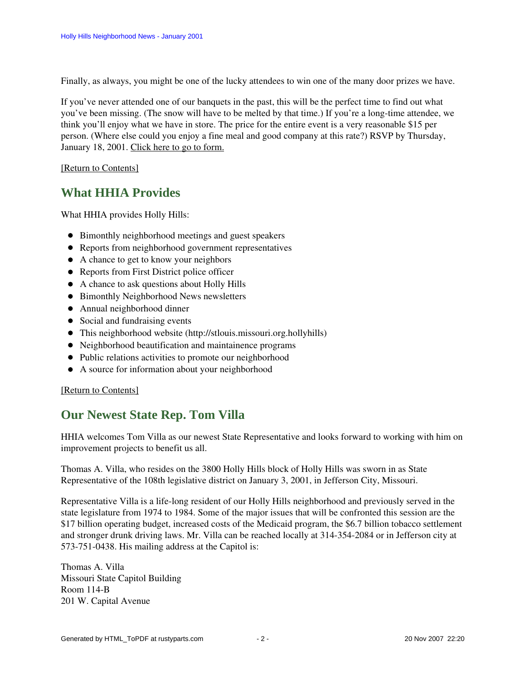Finally, as always, you might be one of the lucky attendees to win one of the many door prizes we have.

If you've never attended one of our banquets in the past, this will be the perfect time to find out what you've been missing. (The snow will have to be melted by that time.) If you're a long-time attendee, we think you'll enjoy what we have in store. The price for the entire event is a very reasonable \$15 per person. (Where else could you enjoy a fine meal and good company at this rate?) RSVP by Thursday, January 18, 2001. Click here to go to form.

<span id="page-1-0"></span>[\[Return to Contents\]](#page-0-1)

### **What HHIA Provides**

What HHIA provides Holly Hills:

- Bimonthly neighborhood meetings and guest speakers
- Reports from neighborhood government representatives
- A chance to get to know your neighbors
- Reports from First District police officer
- A chance to ask questions about Holly Hills
- Bimonthly Neighborhood News newsletters
- Annual neighborhood dinner
- Social and fundraising events
- This neighborhood website (http://stlouis.missouri.org.hollyhills)
- Neighborhood beautification and maintainence programs
- Public relations activities to promote our neighborhood
- A source for information about your neighborhood

#### <span id="page-1-1"></span>[\[Return to Contents\]](#page-0-1)

### **Our Newest State Rep. Tom Villa**

HHIA welcomes Tom Villa as our newest State Representative and looks forward to working with him on improvement projects to benefit us all.

Thomas A. Villa, who resides on the 3800 Holly Hills block of Holly Hills was sworn in as State Representative of the 108th legislative district on January 3, 2001, in Jefferson City, Missouri.

Representative Villa is a life-long resident of our Holly Hills neighborhood and previously served in the state legislature from 1974 to 1984. Some of the major issues that will be confronted this session are the \$17 billion operating budget, increased costs of the Medicaid program, the \$6.7 billion tobacco settlement and stronger drunk driving laws. Mr. Villa can be reached locally at 314-354-2084 or in Jefferson city at 573-751-0438. His mailing address at the Capitol is:

Thomas A. Villa Missouri State Capitol Building Room 114-B 201 W. Capital Avenue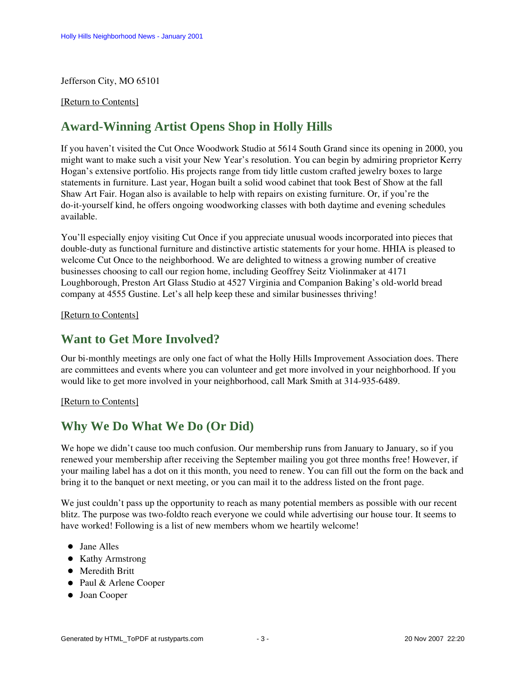#### Jefferson City, MO 65101

#### <span id="page-2-0"></span>[\[Return to Contents\]](#page-0-1)

### **Award-Winning Artist Opens Shop in Holly Hills**

If you haven't visited the Cut Once Woodwork Studio at 5614 South Grand since its opening in 2000, you might want to make such a visit your New Year's resolution. You can begin by admiring proprietor Kerry Hogan's extensive portfolio. His projects range from tidy little custom crafted jewelry boxes to large statements in furniture. Last year, Hogan built a solid wood cabinet that took Best of Show at the fall Shaw Art Fair. Hogan also is available to help with repairs on existing furniture. Or, if you're the do-it-yourself kind, he offers ongoing woodworking classes with both daytime and evening schedules available.

You'll especially enjoy visiting Cut Once if you appreciate unusual woods incorporated into pieces that double-duty as functional furniture and distinctive artistic statements for your home. HHIA is pleased to welcome Cut Once to the neighborhood. We are delighted to witness a growing number of creative businesses choosing to call our region home, including Geoffrey Seitz Violinmaker at 4171 Loughborough, Preston Art Glass Studio at 4527 Virginia and Companion Baking's old-world bread company at 4555 Gustine. Let's all help keep these and similar businesses thriving!

[\[Return to Contents\]](#page-0-1)

### <span id="page-2-1"></span>**Want to Get More Involved?**

Our bi-monthly meetings are only one fact of what the Holly Hills Improvement Association does. There are committees and events where you can volunteer and get more involved in your neighborhood. If you would like to get more involved in your neighborhood, call Mark Smith at 314-935-6489.

#### [\[Return to Contents\]](#page-0-1)

### <span id="page-2-2"></span>**Why We Do What We Do (Or Did)**

We hope we didn't cause too much confusion. Our membership runs from January to January, so if you renewed your membership after receiving the September mailing you got three months free! However, if your mailing label has a dot on it this month, you need to renew. You can fill out the form on the back and bring it to the banquet or next meeting, or you can mail it to the address listed on the front page.

We just couldn't pass up the opportunity to reach as many potential members as possible with our recent blitz. The purpose was two-foldto reach everyone we could while advertising our house tour. It seems to have worked! Following is a list of new members whom we heartily welcome!

- Jane Alles
- Kathy Armstrong
- **•** Meredith Britt
- Paul & Arlene Cooper
- Joan Cooper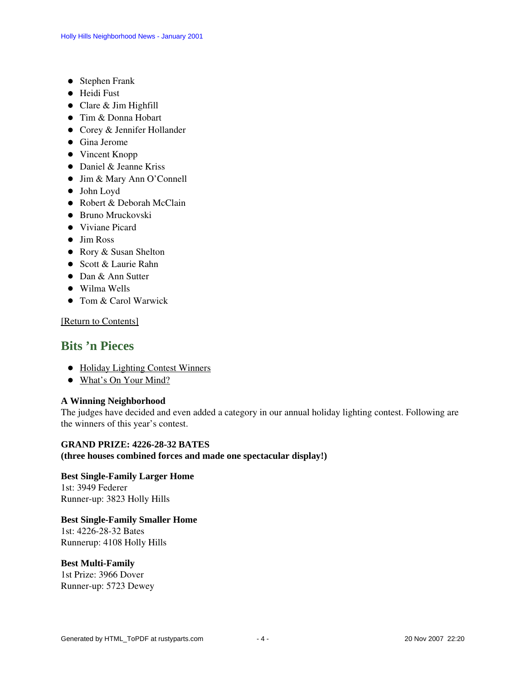- Stephen Frank
- **•** Heidi Fust
- Clare & Jim Highfill
- Tim & Donna Hobart
- Corey & Jennifer Hollander
- Gina Jerome
- Vincent Knopp
- Daniel & Jeanne Kriss
- Jim & Mary Ann O'Connell
- John Loyd
- Robert & Deborah McClain
- Bruno Mruckovski
- Viviane Picard
- Jim Ross
- Rory & Susan Shelton
- Scott & Laurie Rahn
- Dan & Ann Sutter
- Wilma Wells
- Tom & Carol Warwick

[\[Return to Contents\]](#page-0-1)

### <span id="page-3-2"></span><span id="page-3-0"></span>**Bits 'n Pieces**

- [Holiday Lighting Contest Winners](#page-3-1)
- [What's On Your Mind?](#page-4-0)

#### <span id="page-3-1"></span>**A Winning Neighborhood**

The judges have decided and even added a category in our annual holiday lighting contest. Following are the winners of this year's contest.

**GRAND PRIZE: 4226-28-32 BATES (three houses combined forces and made one spectacular display!)**

**Best Single-Family Larger Home** 1st: 3949 Federer Runner-up: 3823 Holly Hills

#### **Best Single-Family Smaller Home**

1st: 4226-28-32 Bates Runnerup: 4108 Holly Hills

#### **Best Multi-Family**

1st Prize: 3966 Dover Runner-up: 5723 Dewey